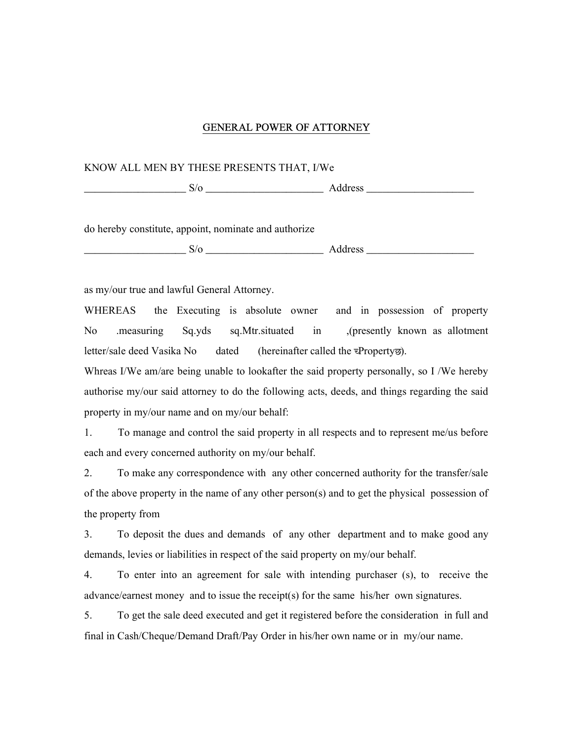## GENERAL POWER OF ATTORNEY

## KNOW ALL MEN BY THESE PRESENTS THAT, I/We

\_\_\_\_\_\_\_\_\_\_\_\_\_\_\_\_\_\_\_ S/o \_\_\_\_\_\_\_\_\_\_\_\_\_\_\_\_\_\_\_\_\_\_ Address \_\_\_\_\_\_\_\_\_\_\_\_\_\_\_\_\_\_\_\_

do hereby constitute, appoint, nominate and authorize

\_\_\_\_\_\_\_\_\_\_\_\_\_\_\_\_\_\_\_ S/o \_\_\_\_\_\_\_\_\_\_\_\_\_\_\_\_\_\_\_\_\_\_ Address \_\_\_\_\_\_\_\_\_\_\_\_\_\_\_\_\_\_\_\_

as my/our true and lawful General Attorney.

WHEREAS the Executing is absolute owner and in possession of property No .measuring Sq.yds sq.Mtr.situated in ,(presently known as allotment letter/sale deed Vasika No dated (hereinafter called the  $\overline{z}$ Property $\overline{z}$ ).

Whreas I/We am/are being unable to lookafter the said property personally, so I /We hereby authorise my/our said attorney to do the following acts, deeds, and things regarding the said property in my/our name and on my/our behalf:

1. To manage and control the said property in all respects and to represent me/us before each and every concerned authority on my/our behalf.

2. To make any correspondence with any other concerned authority for the transfer/sale of the above property in the name of any other person(s) and to get the physical possession of the property from

3. To deposit the dues and demands of any other department and to make good any demands, levies or liabilities in respect of the said property on my/our behalf.

4. To enter into an agreement for sale with intending purchaser (s), to receive the advance/earnest money and to issue the receipt(s) for the same his/her own signatures.

5. To get the sale deed executed and get it registered before the consideration in full and final in Cash/Cheque/Demand Draft/Pay Order in his/her own name or in my/our name.